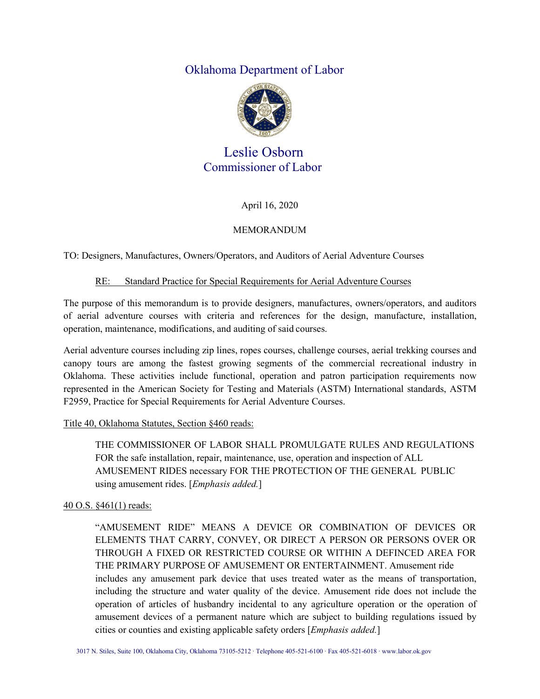# Oklahoma Department of Labor



# Leslie Osborn Commissioner of Labor

April 16, 2020

## MEMORANDUM

TO: Designers, Manufactures, Owners/Operators, and Auditors of Aerial Adventure Courses

#### RE: Standard Practice for Special Requirements for Aerial Adventure Courses

The purpose of this memorandum is to provide designers, manufactures, owners/operators, and auditors of aerial adventure courses with criteria and references for the design, manufacture, installation, operation, maintenance, modifications, and auditing of said courses.

Aerial adventure courses including zip lines, ropes courses, challenge courses, aerial trekking courses and canopy tours are among the fastest growing segments of the commercial recreational industry in Oklahoma. These activities include functional, operation and patron participation requirements now represented in the American Society for Testing and Materials (ASTM) International standards, ASTM F2959, Practice for Special Requirements for Aerial Adventure Courses.

#### Title 40, Oklahoma Statutes, Section §460 reads:

THE COMMISSIONER OF LABOR SHALL PROMULGATE RULES AND REGULATIONS FOR the safe installation, repair, maintenance, use, operation and inspection of ALL AMUSEMENT RIDES necessary FOR THE PROTECTION OF THE GENERAL PUBLIC using amusement rides. [*Emphasis added.*]

## 40 O.S. §461(1) reads:

"AMUSEMENT RIDE" MEANS A DEVICE OR COMBINATION OF DEVICES OR ELEMENTS THAT CARRY, CONVEY, OR DIRECT A PERSON OR PERSONS OVER OR THROUGH A FIXED OR RESTRICTED COURSE OR WITHIN A DEFINCED AREA FOR THE PRIMARY PURPOSE OF AMUSEMENT OR ENTERTAINMENT. Amusement ride includes any amusement park device that uses treated water as the means of transportation, including the structure and water quality of the device. Amusement ride does not include the operation of articles of husbandry incidental to any agriculture operation or the operation of amusement devices of a permanent nature which are subject to building regulations issued by cities or counties and existing applicable safety orders [*Emphasis added.*]